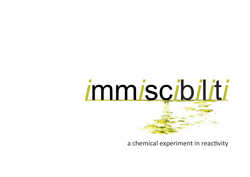

a chemical experiment in reactivity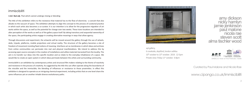

dickson nicky hamlyn jamie jenkinson paul malone nicola rae steven scott alma tischler wood



www.cipango.co.uk/immiscibiliti

Curated by Paul Malone and Nicola Rae

## immiscibiliti

**i-mis'-ibal adj.** That which cannot undergo mixing or blending

The title of this exhibition refers to the resistance that material has to the flow of electricity - a conceit that also alludes to the vacuum of space. The exhibition attempts to align this concept to the process of curatorial practice in which each artist also becomes a co-curator. It is our intention is to allow for the progressive migration of art works within the space, as well as the potential for change over two weeks. These trans-locations are intended to alter perception of the works as well as of the gallery space itself. By taking transitory and sequential ownership of the space, the participating artists engage in creating alternative meanings in ways that allow agency.

Through discussions and experiment, the artworks will be moved around the gallery through the use of wheels, skids, tripods, platforms, mobile projections and virtual reality. The structure of the gallery becomes a site of freedom of movement resisting fixed notions of meaning. Interfaces act as membranes in which ideas and archives from online communities can permeate into real and physical manifestations. We intend to address this by accessing open source concepts in the creation of installations and utilize materials harvested from the locality. The aim is to transfer our ideas into this specific location and so relate to the everyday inhabitance of a space. We would like to create an open system in which ideas permeate between the artists and surrounding community.

Immiscibiliti is an exhibition by contemporary artists and structural film makers relating to the theme of reactivity and resistance in the process of creativity. As suggested by the title this can often operate along the boundaries of the miscible and the immiscible; the blending of influences or resistance to those proximi�es. In effect this exhibition is designed to operate as an intriguing chemical experiment, including artists that on one level share the same influences yet on another inhabit diverse evolutionary paths.

apt gallery, 6 creekside, deptford, london se84sa 10<sup>th</sup> october to 13<sup>th</sup> october. 2019. 12-5pm Private view: friday 11<sup>th</sup> october. 6-8pm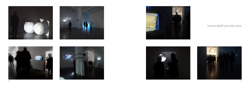













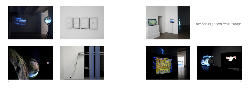











## immiscibiliti general walk-through

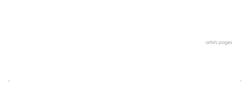artists pages